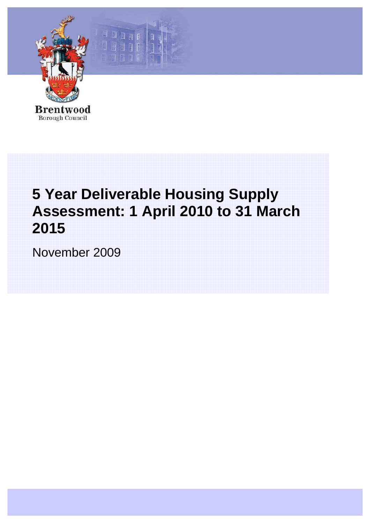

Five Year Deliverable Housing Supply Assessment: 1 April 2010 to 31 March 2015

耳目日

# **5 Year Deliverable Housing Supply Assessment: 1 April 2010 to 31 March 2015**

November 2009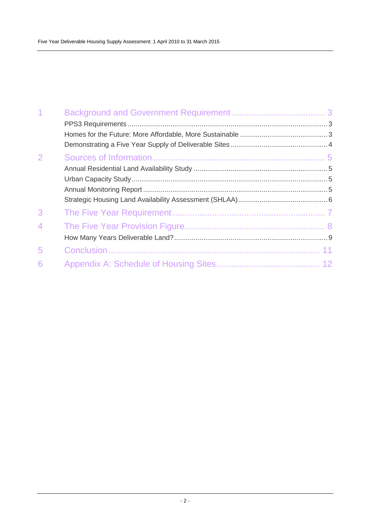| $\overline{1}$ |  |
|----------------|--|
|                |  |
|                |  |
|                |  |
| $\overline{2}$ |  |
|                |  |
|                |  |
|                |  |
|                |  |
| 3              |  |
| 4              |  |
|                |  |
| 5              |  |
| 6              |  |
|                |  |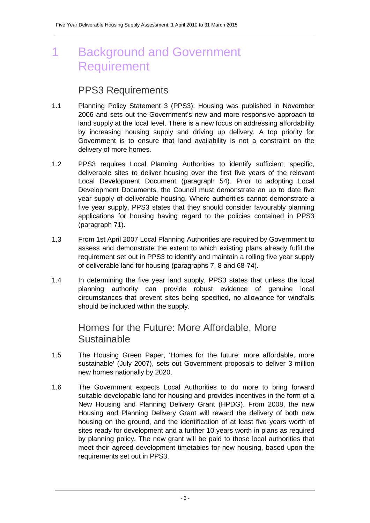## 1 Background and Government Requirement

#### PPS3 Requirements

- 1.1 Planning Policy Statement 3 (PPS3): Housing was published in November 2006 and sets out the Government's new and more responsive approach to land supply at the local level. There is a new focus on addressing affordability by increasing housing supply and driving up delivery. A top priority for Government is to ensure that land availability is not a constraint on the delivery of more homes.
- 1.2 PPS3 requires Local Planning Authorities to identify sufficient, specific, deliverable sites to deliver housing over the first five years of the relevant Local Development Document (paragraph 54). Prior to adopting Local Development Documents, the Council must demonstrate an up to date five year supply of deliverable housing. Where authorities cannot demonstrate a five year supply, PPS3 states that they should consider favourably planning applications for housing having regard to the policies contained in PPS3 (paragraph 71).
- 1.3 From 1st April 2007 Local Planning Authorities are required by Government to assess and demonstrate the extent to which existing plans already fulfil the requirement set out in PPS3 to identify and maintain a rolling five year supply of deliverable land for housing (paragraphs 7, 8 and 68-74).
- 1.4 In determining the five year land supply, PPS3 states that unless the local planning authority can provide robust evidence of genuine local circumstances that prevent sites being specified, no allowance for windfalls should be included within the supply.

#### Homes for the Future: More Affordable, More **Sustainable**

- 1.5 The Housing Green Paper, 'Homes for the future: more affordable, more sustainable' (July 2007), sets out Government proposals to deliver 3 million new homes nationally by 2020.
- 1.6 The Government expects Local Authorities to do more to bring forward suitable developable land for housing and provides incentives in the form of a New Housing and Planning Delivery Grant (HPDG). From 2008, the new Housing and Planning Delivery Grant will reward the delivery of both new housing on the ground, and the identification of at least five years worth of sites ready for development and a further 10 years worth in plans as required by planning policy. The new grant will be paid to those local authorities that meet their agreed development timetables for new housing, based upon the requirements set out in PPS3.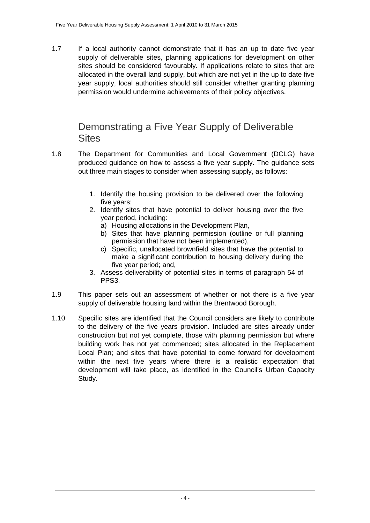1.7 If a local authority cannot demonstrate that it has an up to date five year supply of deliverable sites, planning applications for development on other sites should be considered favourably. If applications relate to sites that are allocated in the overall land supply, but which are not yet in the up to date five year supply, local authorities should still consider whether granting planning permission would undermine achievements of their policy objectives.

#### Demonstrating a Five Year Supply of Deliverable **Sites**

- 1.8 The Department for Communities and Local Government (DCLG) have produced guidance on how to assess a five year supply. The guidance sets out three main stages to consider when assessing supply, as follows:
	- 1. Identify the housing provision to be delivered over the following five years;
	- 2. Identify sites that have potential to deliver housing over the five year period, including:
		- a) Housing allocations in the Development Plan,
		- b) Sites that have planning permission (outline or full planning permission that have not been implemented),
		- c) Specific, unallocated brownfield sites that have the potential to make a significant contribution to housing delivery during the five year period; and,
	- 3. Assess deliverability of potential sites in terms of paragraph 54 of PPS3.
- 1.9 This paper sets out an assessment of whether or not there is a five year supply of deliverable housing land within the Brentwood Borough.
- 1.10 Specific sites are identified that the Council considers are likely to contribute to the delivery of the five years provision. Included are sites already under construction but not yet complete, those with planning permission but where building work has not yet commenced; sites allocated in the Replacement Local Plan; and sites that have potential to come forward for development within the next five years where there is a realistic expectation that development will take place, as identified in the Council's Urban Capacity Study.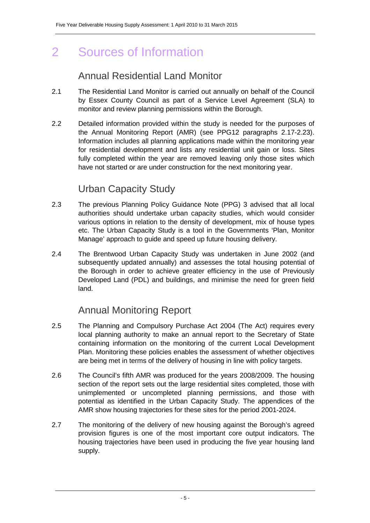# 2 Sources of Information

### Annual Residential Land Monitor

- 2.1 The Residential Land Monitor is carried out annually on behalf of the Council by Essex County Council as part of a Service Level Agreement (SLA) to monitor and review planning permissions within the Borough.
- 2.2 Detailed information provided within the study is needed for the purposes of the Annual Monitoring Report (AMR) (see PPG12 paragraphs 2.17-2.23). Information includes all planning applications made within the monitoring year for residential development and lists any residential unit gain or loss. Sites fully completed within the year are removed leaving only those sites which have not started or are under construction for the next monitoring year.

### Urban Capacity Study

- 2.3 The previous Planning Policy Guidance Note (PPG) 3 advised that all local authorities should undertake urban capacity studies, which would consider various options in relation to the density of development, mix of house types etc. The Urban Capacity Study is a tool in the Governments 'Plan, Monitor Manage' approach to guide and speed up future housing delivery.
- 2.4 The Brentwood Urban Capacity Study was undertaken in June 2002 (and subsequently updated annually) and assesses the total housing potential of the Borough in order to achieve greater efficiency in the use of Previously Developed Land (PDL) and buildings, and minimise the need for green field land.

### Annual Monitoring Report

- 2.5 The Planning and Compulsory Purchase Act 2004 (The Act) requires every local planning authority to make an annual report to the Secretary of State containing information on the monitoring of the current Local Development Plan. Monitoring these policies enables the assessment of whether objectives are being met in terms of the delivery of housing in line with policy targets.
- 2.6 The Council's fifth AMR was produced for the years 2008/2009. The housing section of the report sets out the large residential sites completed, those with unimplemented or uncompleted planning permissions, and those with potential as identified in the Urban Capacity Study. The appendices of the AMR show housing trajectories for these sites for the period 2001-2024.
- 2.7 The monitoring of the delivery of new housing against the Borough's agreed provision figures is one of the most important core output indicators. The housing trajectories have been used in producing the five year housing land supply.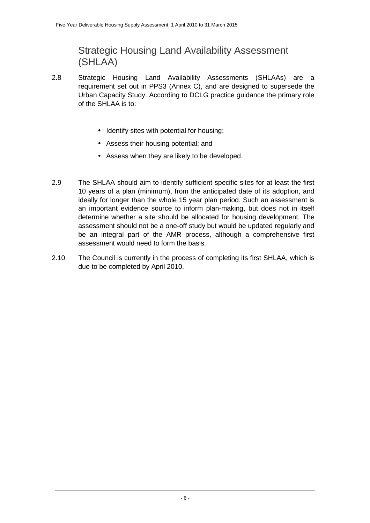Strategic Housing Land Availability Assessment (SHLAA)

- 2.8 Strategic Housing Land Availability Assessments (SHLAAs) are a requirement set out in PPS3 (Annex C), and are designed to supersede the Urban Capacity Study. According to DCLG practice guidance the primary role of the SHLAA is to:
	- Identify sites with potential for housing;
	- Assess their housing potential; and
	- Assess when they are likely to be developed.
- 2.9 The SHLAA should aim to identify sufficient specific sites for at least the first 10 years of a plan (minimum), from the anticipated date of its adoption, and ideally for longer than the whole 15 year plan period. Such an assessment is an important evidence source to inform plan-making, but does not in itself determine whether a site should be allocated for housing development. The assessment should not be a one-off study but would be updated regularly and be an integral part of the AMR process, although a comprehensive first assessment would need to form the basis.
- 2.10 The Council is currently in the process of completing its first SHLAA, which is due to be completed by April 2010.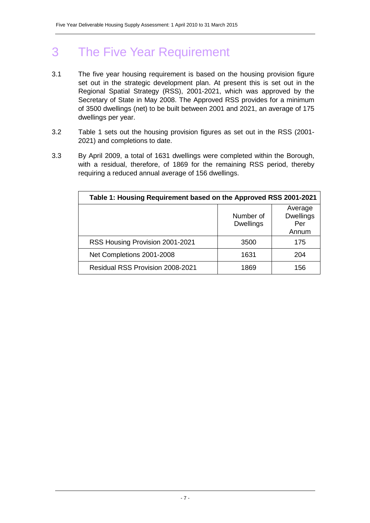# 3 The Five Year Requirement

- 3.1 The five year housing requirement is based on the housing provision figure set out in the strategic development plan. At present this is set out in the Regional Spatial Strategy (RSS), 2001-2021, which was approved by the Secretary of State in May 2008. The Approved RSS provides for a minimum of 3500 dwellings (net) to be built between 2001 and 2021, an average of 175 dwellings per year.
- 3.2 Table 1 sets out the housing provision figures as set out in the RSS (2001- 2021) and completions to date.
- 3.3 By April 2009, a total of 1631 dwellings were completed within the Borough, with a residual, therefore, of 1869 for the remaining RSS period, thereby requiring a reduced annual average of 156 dwellings.

| Table 1: Housing Requirement based on the Approved RSS 2001-2021 |                               |                                             |  |  |  |  |  |  |  |  |  |  |  |
|------------------------------------------------------------------|-------------------------------|---------------------------------------------|--|--|--|--|--|--|--|--|--|--|--|
|                                                                  | Number of<br><b>Dwellings</b> | Average<br><b>Dwellings</b><br>Per<br>Annum |  |  |  |  |  |  |  |  |  |  |  |
| RSS Housing Provision 2001-2021                                  | 3500                          | 175                                         |  |  |  |  |  |  |  |  |  |  |  |
| Net Completions 2001-2008                                        | 1631                          | 204                                         |  |  |  |  |  |  |  |  |  |  |  |
| <b>Residual RSS Provision 2008-2021</b>                          | 1869                          | 156                                         |  |  |  |  |  |  |  |  |  |  |  |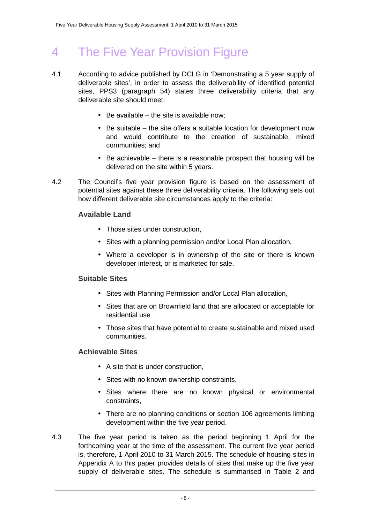# 4 The Five Year Provision Figure

- 4.1 According to advice published by DCLG in 'Demonstrating a 5 year supply of deliverable sites', in order to assess the deliverability of identified potential sites, PPS3 (paragraph 54) states three deliverability criteria that any deliverable site should meet:
	- $\bullet$  Be available the site is available now;
	- Be suitable the site offers a suitable location for development now and would contribute to the creation of sustainable, mixed communities; and
	- Be achievable there is a reasonable prospect that housing will be delivered on the site within 5 years.
- 4.2 The Council's five year provision figure is based on the assessment of potential sites against these three deliverability criteria. The following sets out how different deliverable site circumstances apply to the criteria:

#### **Available Land**

- Those sites under construction.
- Sites with a planning permission and/or Local Plan allocation,
- Where a developer is in ownership of the site or there is known developer interest, or is marketed for sale.

#### **Suitable Sites**

- Sites with Planning Permission and/or Local Plan allocation,
- Sites that are on Brownfield land that are allocated or acceptable for residential use
- Those sites that have potential to create sustainable and mixed used communities.

#### **Achievable Sites**

- A site that is under construction.
- Sites with no known ownership constraints,
- Sites where there are no known physical or environmental constraints,
- There are no planning conditions or section 106 agreements limiting development within the five year period.
- 4.3 The five year period is taken as the period beginning 1 April for the forthcoming year at the time of the assessment. The current five year period is, therefore, 1 April 2010 to 31 March 2015. The schedule of housing sites in Appendix A to this paper provides details of sites that make up the five year supply of deliverable sites. The schedule is summarised in Table 2 and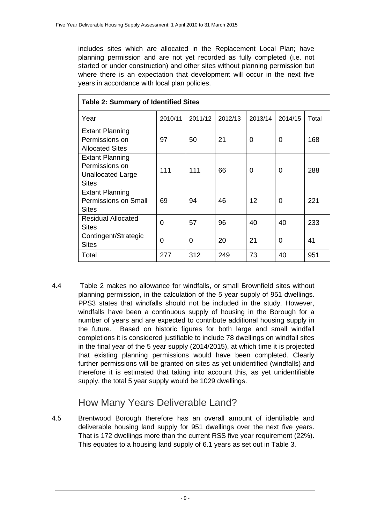includes sites which are allocated in the Replacement Local Plan; have planning permission and are not yet recorded as fully completed (i.e. not started or under construction) and other sites without planning permission but where there is an expectation that development will occur in the next five years in accordance with local plan policies.

| <b>Table 2: Summary of Identified Sites</b>                                          |         |          |         |         |         |       |  |  |  |  |  |  |  |
|--------------------------------------------------------------------------------------|---------|----------|---------|---------|---------|-------|--|--|--|--|--|--|--|
| Year                                                                                 | 2010/11 | 2011/12  | 2012/13 | 2013/14 | 2014/15 | Total |  |  |  |  |  |  |  |
| <b>Extant Planning</b><br>Permissions on                                             | 97      | 50       | 21      | 0       | 0       | 168   |  |  |  |  |  |  |  |
| <b>Allocated Sites</b>                                                               |         |          |         |         |         |       |  |  |  |  |  |  |  |
| <b>Extant Planning</b><br>Permissions on<br><b>Unallocated Large</b><br><b>Sites</b> | 111     | 111      | 66      | 0       | 0       | 288   |  |  |  |  |  |  |  |
| <b>Extant Planning</b><br><b>Permissions on Small</b><br><b>Sites</b>                | 69      | 94       | 46      | $12 \,$ | 0       | 221   |  |  |  |  |  |  |  |
| Residual Allocated<br><b>Sites</b>                                                   | 0       | 57       | 96      | 40      | 40      | 233   |  |  |  |  |  |  |  |
| Contingent/Strategic<br><b>Sites</b>                                                 | 0       | $\Omega$ | 20      | 21      | 0       | 41    |  |  |  |  |  |  |  |
| Total                                                                                | 277     | 312      | 249     | 73      | 40      | 951   |  |  |  |  |  |  |  |

4.4 Table 2 makes no allowance for windfalls, or small Brownfield sites without planning permission, in the calculation of the 5 year supply of 951 dwellings. PPS3 states that windfalls should not be included in the study. However, windfalls have been a continuous supply of housing in the Borough for a number of years and are expected to contribute additional housing supply in the future. Based on historic figures for both large and small windfall completions it is considered justifiable to include 78 dwellings on windfall sites in the final year of the 5 year supply (2014/2015), at which time it is projected that existing planning permissions would have been completed. Clearly further permissions will be granted on sites as yet unidentified (windfalls) and therefore it is estimated that taking into account this, as yet unidentifiable supply, the total 5 year supply would be 1029 dwellings.

#### How Many Years Deliverable Land?

4.5 Brentwood Borough therefore has an overall amount of identifiable and deliverable housing land supply for 951 dwellings over the next five years. That is 172 dwellings more than the current RSS five year requirement (22%). This equates to a housing land supply of 6.1 years as set out in Table 3.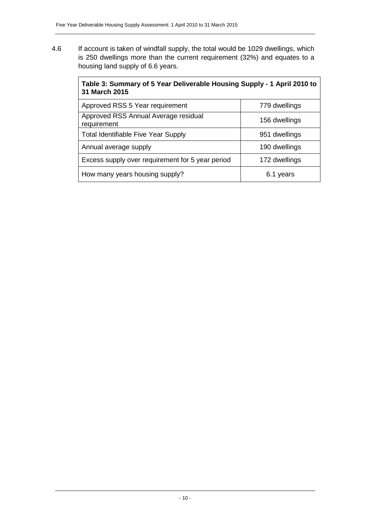4.6 If account is taken of windfall supply, the total would be 1029 dwellings, which is 250 dwellings more than the current requirement (32%) and equates to a housing land supply of 6.6 years.

| Table 3: Summary of 5 Year Deliverable Housing Supply - 1 April 2010 to<br>31 March 2015 |               |  |  |  |  |  |  |  |  |  |  |  |
|------------------------------------------------------------------------------------------|---------------|--|--|--|--|--|--|--|--|--|--|--|
| Approved RSS 5 Year requirement                                                          | 779 dwellings |  |  |  |  |  |  |  |  |  |  |  |
| Approved RSS Annual Average residual<br>requirement                                      | 156 dwellings |  |  |  |  |  |  |  |  |  |  |  |
| <b>Total Identifiable Five Year Supply</b>                                               | 951 dwellings |  |  |  |  |  |  |  |  |  |  |  |
| Annual average supply                                                                    | 190 dwellings |  |  |  |  |  |  |  |  |  |  |  |
| Excess supply over requirement for 5 year period                                         | 172 dwellings |  |  |  |  |  |  |  |  |  |  |  |
| How many years housing supply?                                                           | 6.1 years     |  |  |  |  |  |  |  |  |  |  |  |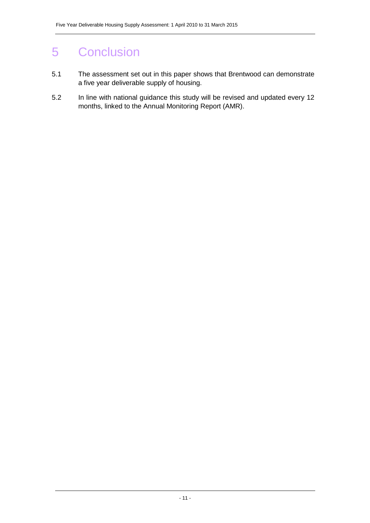# 5 Conclusion

- 5.1 The assessment set out in this paper shows that Brentwood can demonstrate a five year deliverable supply of housing.
- 5.2 In line with national guidance this study will be revised and updated every 12 months, linked to the Annual Monitoring Report (AMR).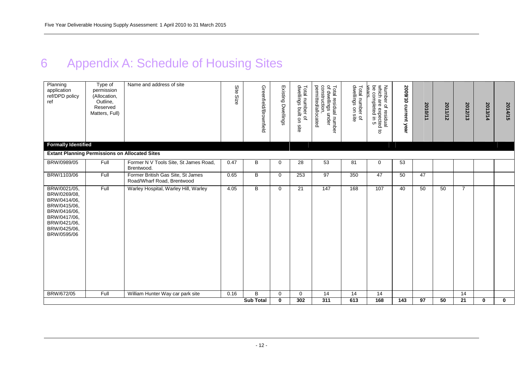# 6 Appendix A: Schedule of Housing Sites

| <b>Extant Planning Permissions on Allocated Sites</b><br>BRW/0989/05<br>Full<br>Former N V Tools Site, St James Road,<br>0.47<br>В<br>53<br>28<br>81<br>$\mathbf 0$<br>53<br>$\mathbf 0$<br>Brentwood.<br>Former British Gas Site, St James<br>BRW/1103/06<br>Full<br>0.65<br>B<br>97<br>350<br>47<br>47<br>$\mathbf{0}$<br>253<br>50<br>Road/Wharf Road, Brentwood<br>BRW/0021/05,<br>Full<br>Warley Hospital, Warley Hill, Warley<br>В<br>107<br>$\overline{7}$<br>4.05<br>$\Omega$<br>21<br>147<br>168<br>50<br>50<br>40<br>BRW/0269/08,<br>BRW/0414/06.<br>BRW/0415/06,<br>BRW/0416/06,<br>BRW/0417/06,<br>BRW/0421/06,<br>BRW/0425/06,<br>BRW/0595/06<br>B<br>BRW/672/05<br>Full<br>William Hunter Way car park site<br>0.16<br>14<br>14<br>14<br>14<br>$\mathbf{0}$<br>$\mathbf 0$ | <b>Formally Identified</b> | Reserved<br>Matters, Full) |  | Greenfield/Brownfield | Existing Dwellings | l number c<br>lings built<br>$\overline{\sigma}$<br>g<br>site | permitted/allocated<br>construction<br>Total residual number<br>of dwellings under | Total number of<br>dwellings on site | Number of residual<br>which are expected to<br>be completed in 5<br>completed | 2009/10 current year | 2010/11         | 2011/12 | 2012/13         | 2013/14     | 2014/15     |
|------------------------------------------------------------------------------------------------------------------------------------------------------------------------------------------------------------------------------------------------------------------------------------------------------------------------------------------------------------------------------------------------------------------------------------------------------------------------------------------------------------------------------------------------------------------------------------------------------------------------------------------------------------------------------------------------------------------------------------------------------------------------------------------|----------------------------|----------------------------|--|-----------------------|--------------------|---------------------------------------------------------------|------------------------------------------------------------------------------------|--------------------------------------|-------------------------------------------------------------------------------|----------------------|-----------------|---------|-----------------|-------------|-------------|
|                                                                                                                                                                                                                                                                                                                                                                                                                                                                                                                                                                                                                                                                                                                                                                                          |                            |                            |  |                       |                    |                                                               |                                                                                    |                                      |                                                                               |                      |                 |         |                 |             |             |
|                                                                                                                                                                                                                                                                                                                                                                                                                                                                                                                                                                                                                                                                                                                                                                                          |                            |                            |  |                       |                    |                                                               |                                                                                    |                                      |                                                                               |                      |                 |         |                 |             |             |
|                                                                                                                                                                                                                                                                                                                                                                                                                                                                                                                                                                                                                                                                                                                                                                                          |                            |                            |  |                       |                    |                                                               |                                                                                    |                                      |                                                                               |                      |                 |         |                 |             |             |
|                                                                                                                                                                                                                                                                                                                                                                                                                                                                                                                                                                                                                                                                                                                                                                                          |                            |                            |  |                       |                    |                                                               |                                                                                    |                                      |                                                                               |                      |                 |         |                 |             |             |
|                                                                                                                                                                                                                                                                                                                                                                                                                                                                                                                                                                                                                                                                                                                                                                                          |                            |                            |  | <b>Sub Total</b>      | $\bf{0}$           | 302                                                           | $\overline{311}$                                                                   | 613                                  | 168                                                                           | $\frac{1}{143}$      | $\overline{97}$ | 50      | $\overline{21}$ | $\mathbf 0$ | $\mathbf 0$ |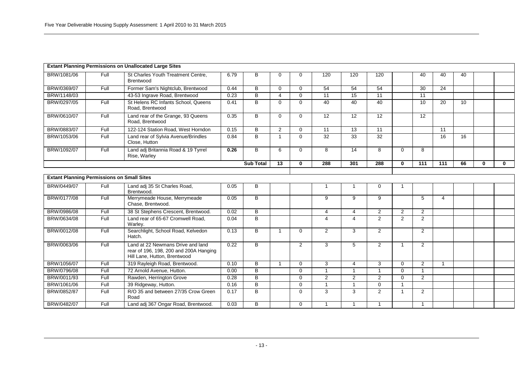|                                                   |      | <b>Extant Planning Permissions on Unallocated Large Sites</b>                                               |      |                  |                |                |                 |                 |                 |                |                 |                 |    |              |              |
|---------------------------------------------------|------|-------------------------------------------------------------------------------------------------------------|------|------------------|----------------|----------------|-----------------|-----------------|-----------------|----------------|-----------------|-----------------|----|--------------|--------------|
| BRW/1081/06                                       | Full | St Charles Youth Treatment Centre,<br>Brentwood                                                             | 6.79 | B                | $\Omega$       | 0              | 120             | 120             | 120             |                | 40              | 40              | 40 |              |              |
| BRW/0369/07                                       | Full | Former Sam's Nightclub, Brentwood                                                                           | 0.44 | B                | $\Omega$       | $\Omega$       | 54              | 54              | 54              |                | 30              | 24              |    |              |              |
| BRW/1148/03                                       |      | 43-53 Ingrave Road, Brentwood                                                                               | 0.23 | $\overline{B}$   | $\overline{4}$ | $\overline{0}$ | 11              | 15              | $\overline{11}$ |                | $\overline{11}$ |                 |    |              |              |
| BRW/0297/05                                       | Full | St Helens RC Infants School, Queens<br>Road, Brentwood                                                      | 0.41 | B                | $\Omega$       | $\overline{0}$ | 40              | 40              | 40              |                | 10              | 20              | 10 |              |              |
| BRW/0610/07                                       | Full | Land rear of the Grange, 93 Queens<br>Road. Brentwood                                                       | 0.35 | $\overline{B}$   | $\Omega$       | $\mathbf{0}$   | $\overline{12}$ | $\overline{12}$ | $\overline{12}$ |                | $\overline{12}$ |                 |    |              |              |
| BRW/0883/07                                       | Full | 122-124 Station Road, West Horndon                                                                          | 0.15 | B                | $\overline{2}$ | $\overline{0}$ | $\overline{11}$ | $\overline{13}$ | $\overline{11}$ |                |                 | $\overline{11}$ |    |              |              |
| BRW/1053/06                                       | Full | Land rear of Sylvia Avenue/Brindles<br>Close, Hutton                                                        | 0.84 | B                | $\mathbf{1}$   | $\Omega$       | $\overline{32}$ | $\overline{33}$ | 32              |                |                 | 16              | 16 |              |              |
| BRW/1092/07                                       | Full | Land adj Britannia Road & 19 Tyrrel<br>Rise, Warley                                                         | 0.26 | B                | 6              | $\Omega$       | 8               | 14              | 8               | $\Omega$       | 8               |                 |    |              |              |
|                                                   |      |                                                                                                             |      | <b>Sub Total</b> | 13             | $\mathbf{0}$   | 288             | 301             | 288             | $\mathbf{0}$   | 111             | 111             | 66 | $\mathbf{0}$ | $\mathbf{0}$ |
|                                                   |      |                                                                                                             |      |                  |                |                |                 |                 |                 |                |                 |                 |    |              |              |
| <b>Extant Planning Permissions on Small Sites</b> |      |                                                                                                             |      |                  |                |                |                 |                 |                 |                |                 |                 |    |              |              |
| BRW/0449/07                                       | Full | Land adj 35 St Charles Road,<br>Brentwood.                                                                  | 0.05 | B                |                |                | -1              | -1              | 0               | -1             |                 |                 |    |              |              |
| BRW/0177/08                                       | Full | Merrymeade House, Merrymeade<br>Chase, Brentwood.                                                           | 0.05 | B                |                |                | 9               | 9               | 9               |                | 5               | 4               |    |              |              |
| BRW/0986/08                                       | Full | 38 St Stephens Crescent, Brentwood.                                                                         | 0.02 | B                |                |                | $\overline{4}$  | $\overline{4}$  | 2               | 2              | $\overline{2}$  |                 |    |              |              |
| BRW/0634/08                                       | Full | Land rear of 65-67 Cromwell Road.<br>Warley.                                                                | 0.04 | B                |                |                | $\overline{4}$  | $\overline{4}$  | 2               | 2              | $\overline{2}$  |                 |    |              |              |
| BRW/0012/08                                       | Full | Searchlight, School Road, Kelvedon<br>Hatch.                                                                | 0.13 | B                | $\overline{1}$ | $\Omega$       | $\overline{2}$  | 3               | $\overline{2}$  |                | $\overline{2}$  |                 |    |              |              |
| BRW/0063/06                                       | Full | Land at 22 Newmans Drive and land<br>rear of 196, 198, 200 and 200A Hanging<br>Hill Lane, Hutton, Brentwood | 0.22 | B                |                | $\overline{2}$ | 3               | 5               | 2               | $\overline{1}$ | $\overline{2}$  |                 |    |              |              |
| BRW/1056/07                                       | Full | 319 Rayleigh Road, Brentwood.                                                                               | 0.10 | $\overline{B}$   | $\overline{1}$ | $\overline{0}$ | 3               | $\overline{4}$  | 3               | $\mathbf 0$    | 2               | $\mathbf{1}$    |    |              |              |
| BRW/0796/08                                       | Full | 72 Arnold Avenue, Hutton.                                                                                   | 0.00 | B                |                | $\Omega$       | $\mathbf{1}$    | $\mathbf{1}$    | $\overline{1}$  | $\Omega$       | $\overline{1}$  |                 |    |              |              |
| BRW/0011/93                                       | Full | Rawden, Herrington Grove                                                                                    | 0.28 | B                |                | $\Omega$       | $\overline{2}$  | 2               | $\overline{2}$  | $\Omega$       | $\overline{2}$  |                 |    |              |              |
| BRW/1061/06                                       | Full | 39 Ridgeway, Hutton.                                                                                        | 0.16 | B                |                | $\Omega$       | $\mathbf{1}$    | $\overline{1}$  | $\Omega$        | $\overline{1}$ |                 |                 |    |              |              |
| BRW/0852/87                                       | Full | R/O 35 and between 27/35 Crow Green<br>Road                                                                 | 0.17 | B                |                | $\mathbf{0}$   | 3               | 3               | $\overline{2}$  | $\mathbf{1}$   | $\overline{2}$  |                 |    |              |              |
| BRW/0482/07                                       | Full | Land adj 367 Ongar Road, Brentwood.                                                                         | 0.03 | B                |                | $\Omega$       | $\mathbf{1}$    | $\mathbf{1}$    | $\mathbf{1}$    |                | $\mathbf{1}$    |                 |    |              |              |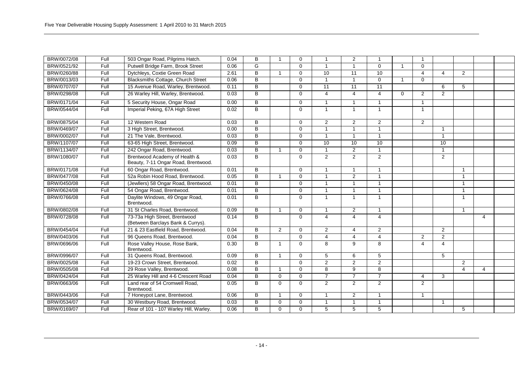| BRW/0072/08 | Full | 503 Ongar Road, Pilgrims Hatch.                                      | 0.04 | B              | -1                       | $\Omega$    |                      | 2              | $\mathbf{1}$   |          | $\overline{1}$ |                         |                |                |  |
|-------------|------|----------------------------------------------------------------------|------|----------------|--------------------------|-------------|----------------------|----------------|----------------|----------|----------------|-------------------------|----------------|----------------|--|
| BRW/0521/92 | Full | Putwell Bridge Farm, Brook Street                                    | 0.06 | G              |                          | $\Omega$    | 1                    | $\mathbf{1}$   | $\mathbf 0$    |          | $\mathbf 0$    |                         |                |                |  |
| BRW/0260/88 | Full | Dytchleys, Coxtie Green Road                                         | 2.61 | B              | $\overline{1}$           | $\Omega$    | 10                   | 11             | 10             |          | $\overline{4}$ | $\overline{4}$          | 2              |                |  |
| BRW/0013/03 | Full | <b>Blacksmiths Cottage, Church Street</b>                            | 0.06 | B              |                          | $\Omega$    | 1                    | $\mathbf{1}$   | $\mathbf 0$    |          | $\mathbf{0}$   |                         |                |                |  |
| BRW/0707/07 | Full | 15 Avenue Road, Warley, Brentwood.                                   | 0.11 | B              |                          | $\Omega$    | 11                   | 11             | 11             |          |                | 6                       | 5              |                |  |
| BRW/0298/08 | Full | 26 Warley Hill, Warley, Brentwood.                                   | 0.03 | B              |                          | $\Omega$    | 4                    | $\overline{4}$ | $\overline{4}$ | $\Omega$ | 2              | 2                       |                |                |  |
| BRW/0171/04 | Full | 5 Security House, Ongar Road                                         | 0.00 | B              |                          | $\Omega$    | 1                    | $\mathbf{1}$   | $\mathbf{1}$   |          | $\mathbf{1}$   |                         |                |                |  |
| BRW/0544/04 | Full | Imperial Peking, 67A High Street                                     | 0.02 | B              |                          | $\Omega$    | $\mathbf{1}$         | $\mathbf{1}$   | $\mathbf{1}$   |          | $\mathbf{1}$   |                         |                |                |  |
| BRW/0875/04 | Full | 12 Western Road                                                      | 0.03 | B              |                          | $\Omega$    | $\overline{2}$       | 2              | $\overline{2}$ |          | $\overline{2}$ |                         |                |                |  |
| BRW/0469/07 | Full | 3 High Street, Brentwood.                                            | 0.00 | B              |                          | $\Omega$    |                      | 1              | 1              |          |                | -1                      |                |                |  |
| BRW/0002/07 | Full | 21 The Vale, Brentwood.                                              | 0.03 | $\overline{B}$ |                          | $\Omega$    | $\overline{1}$       | $\mathbf{1}$   | $\mathbf{1}$   |          |                | $\mathbf{1}$            |                |                |  |
| BRW/1107/07 | Full | 63-65 High Street, Brentwood.                                        | 0.09 | B              |                          | $\Omega$    | 10                   | 10             | 10             |          |                | 10                      |                |                |  |
| BRW/1134/07 | Full | 242 Ongar Road, Brentwood.                                           | 0.03 | B              | 1                        | $\mathbf 0$ | $\overline{1}$       | $\overline{2}$ | $\mathbf{1}$   |          |                | $\overline{\mathbf{1}}$ |                |                |  |
| BRW/1080/07 | Full | Brentwood Academy of Health &<br>Beauty, 7-11 Ongar Road, Brentwood. | 0.03 | $\overline{B}$ |                          | $\Omega$    | $\overline{2}$       | $\overline{2}$ | $\overline{2}$ |          |                | $\overline{2}$          |                |                |  |
| BRW/0171/08 | Full | 60 Ongar Road, Brentwood.                                            | 0.01 | B              |                          | $\Omega$    |                      | $\mathbf{1}$   | 1              |          |                |                         | $\overline{1}$ |                |  |
| BRW/0477/08 | Full | 52a Robin Hood Road, Brentwood.                                      | 0.05 | B              |                          | $\Omega$    | $\blacktriangleleft$ | 2              | $\mathbf{1}$   |          |                |                         | $\overline{1}$ |                |  |
| BRW/0450/08 | Full | (Jewllers) 58 Ongar Road, Brentwood.                                 | 0.01 | B              |                          | $\Omega$    | $\blacktriangleleft$ | $\mathbf{1}$   | $\mathbf{1}$   |          |                |                         | $\mathbf{1}$   |                |  |
| BRW/0624/08 | Full | 54 Ongar Road, Brentwood.                                            | 0.01 | $\overline{B}$ |                          | $\Omega$    | -1                   | $\mathbf{1}$   | $\mathbf{1}$   |          |                |                         | $\mathbf{1}$   |                |  |
| BRW/0766/08 | Full | Daylite Windows, 49 Ongar Road,<br>Brentwood.                        | 0.01 | B              |                          | $\Omega$    | -1                   | $\mathbf{1}$   | $\mathbf{1}$   |          |                |                         | $\mathbf{1}$   |                |  |
| BRW/0802/08 | Full | 31 St Charles Road, Brentwood.                                       | 0.09 | B              | 1                        | $\mathbf 0$ |                      | 2              | $\mathbf{1}$   |          |                |                         | $\overline{1}$ |                |  |
| BRW/0728/08 | Full | 73-73a High Street, Brentwood<br>(Between Barclays Bank & Currys).   | 0.14 | B              |                          | $\Omega$    | $\overline{4}$       | $\overline{4}$ | $\overline{4}$ |          |                |                         |                | $\overline{4}$ |  |
| BRW/0454/04 | Full | 21 & 23 Eastfield Road, Brentwood.                                   | 0.04 | $\overline{B}$ | 2                        | $\Omega$    | $\overline{2}$       | 4              | $\overline{2}$ |          |                | $\overline{2}$          |                |                |  |
| BRW/0403/06 | Full | 96 Queens Road, Brentwood.                                           | 0.04 | B              |                          | $\Omega$    | $\overline{4}$       | 4              | $\overline{4}$ |          | $\overline{2}$ | 2                       |                |                |  |
| BRW/0696/06 | Full | Rose Valley House, Rose Bank,<br>Brentwood.                          | 0.30 | B              | $\overline{1}$           | $\Omega$    | 8                    | 9              | 8              |          | $\overline{4}$ | $\overline{\mathbf{A}}$ |                |                |  |
| BRW/0996/07 | Full | 31 Queens Road, Brentwood.                                           | 0.09 | B              | 1                        | $\Omega$    | 5                    | 6              | 5              |          |                | 5                       |                |                |  |
| BRW/0025/08 | Full | 19-23 Crown Street, Brentwood.                                       | 0.02 | B              |                          | $\Omega$    | $\overline{2}$       | 2              | $\overline{2}$ |          |                |                         | 2              |                |  |
| BRW/0505/08 | Full | 29 Rose Valley, Brentwood.                                           | 0.08 | $\overline{B}$ | $\overline{\phantom{a}}$ | $\Omega$    | 8                    | 9              | 8              |          |                |                         | 4              | 4              |  |
| BRW/0424/04 | Full | 25 Warley Hill and 4-6 Crescent Road                                 | 0.04 | B              | $\Omega$                 | $\Omega$    | $\overline{7}$       | $\overline{7}$ | $\overline{7}$ |          | $\overline{4}$ | 3                       |                |                |  |
| BRW/0663/06 | Full | Land rear of 54 Cromwell Road.<br>Brentwood.                         | 0.05 | B              | $\mathbf 0$              | $\Omega$    | $\overline{2}$       | 2              | $\overline{2}$ |          | $\overline{2}$ |                         |                |                |  |
| BRW/0443/06 | Full | 7 Honeypot Lane, Brentwood.                                          | 0.06 | B              | 1                        | $\Omega$    | $\mathbf 1$          | 2              | $\mathbf{1}$   |          | $\mathbf{1}$   |                         |                |                |  |
| BRW/0534/07 | Full | 30 Westbury Road, Brentwood.                                         | 0.03 | B              | $\mathbf 0$              | $\mathbf 0$ | $\blacktriangleleft$ | 1              | $\mathbf{1}$   |          |                | $\overline{1}$          |                |                |  |
| BRW/0169/07 | Full | Rear of 101 - 107 Warley Hill, Warley.                               | 0.06 | B              | $\Omega$                 | $\Omega$    | 5                    | 5              | 5              |          |                |                         | 5              |                |  |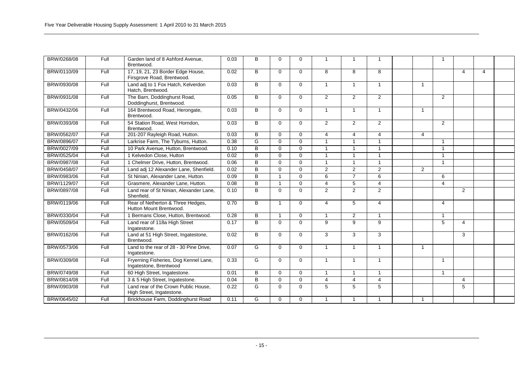| BRW/0268/08 | Full | Garden land of 8 Ashford Avenue.<br>Brentwood.                    | 0.03 | в              | $\Omega$     | $\Omega$ |                | 1              | -1             |                |                         |                |                |  |
|-------------|------|-------------------------------------------------------------------|------|----------------|--------------|----------|----------------|----------------|----------------|----------------|-------------------------|----------------|----------------|--|
| BRW/0110/09 | Full | 17, 19, 21, 23 Border Edge House,<br>Firsgrove Road, Brentwood.   | 0.02 | B              | $\Omega$     | $\Omega$ | 8              | 8              | 8              |                |                         | $\overline{4}$ | $\overline{4}$ |  |
| BRW/0930/08 | Full | Land adj to 1 Fox Hatch, Kelverdon<br>Hatch. Brentwood.           | 0.03 | B              | $\Omega$     | $\Omega$ | $\overline{1}$ | $\mathbf{1}$   | $\mathbf{1}$   | $\overline{1}$ |                         |                |                |  |
| BRW/0931/08 | Full | The Barn, Doddinghurst Road,<br>Doddinghurst, Brentwood.          | 0.05 | B              | $\mathbf 0$  | $\Omega$ | $\overline{2}$ | 2              | $\overline{2}$ |                | 2                       |                |                |  |
| BRW/0432/06 | Full | 164 Brentwood Road, Herongate,<br>Brentwood.                      | 0.03 | B              | $\Omega$     | $\Omega$ | $\mathbf{1}$   | $\mathbf{1}$   | $\mathbf{1}$   | $\mathbf{1}$   |                         |                |                |  |
| BRW/0393/08 | Full | 54 Station Road, West Horndon,<br>Brentwood.                      | 0.03 | B              | $\mathbf 0$  | $\Omega$ | $\overline{2}$ | $\overline{2}$ | $\overline{2}$ |                | $\overline{2}$          |                |                |  |
| BRW/0562/07 | Full | 201-207 Rayleigh Road, Hutton.                                    | 0.03 | B              | $\Omega$     | $\Omega$ | 4              | $\overline{4}$ | 4              | $\overline{4}$ |                         |                |                |  |
| BRW/0896/07 | Full | Larkrise Farm, The Tyburns, Hutton.                               | 0.38 | G              | $\Omega$     | $\Omega$ |                | $\mathbf{1}$   | $\overline{1}$ |                | $\overline{1}$          |                |                |  |
| BRW/0027/09 | Full | 10 Park Avenue, Hutton, Brentwood.                                | 0.10 | B              | $\Omega$     | $\Omega$ |                | 1              | $\overline{1}$ |                | $\overline{1}$          |                |                |  |
| BRW/0525/04 | Full | 1 Kelvedon Close, Hutton                                          | 0.02 | B              | $\Omega$     | $\Omega$ |                |                | $\overline{1}$ |                | $\overline{1}$          |                |                |  |
| BRW/0987/08 | Full | 1 Chelmer Drive, Hutton, Brentwood.                               | 0.06 | $\overline{B}$ | $\Omega$     | $\Omega$ |                | $\overline{1}$ | $\overline{1}$ |                | $\overline{\mathbf{1}}$ |                |                |  |
| BRW/0458/07 | Full | Land adj 12 Alexander Lane, Shenfield.                            | 0.02 | $\overline{B}$ | $\Omega$     | $\Omega$ | 2              | 2              | $\overline{2}$ | 2              |                         |                |                |  |
| BRW/0983/06 | Full | St Ninian. Alexander Lane. Hutton.                                | 0.09 | $\overline{B}$ | $\mathbf{1}$ | $\Omega$ | 6              | $\overline{7}$ | 6              |                | 6                       |                |                |  |
| BRW/1129/07 | Full | Grasmere. Alexander Lane. Hutton.                                 | 0.08 | B              | $\mathbf{1}$ | $\Omega$ | 4              | 5              | $\overline{4}$ |                | $\overline{4}$          |                |                |  |
| BRW/0897/08 | Full | Land rear of St Ninian, Alexander Lane,<br>Shenfield.             | 0.10 | B              | $\Omega$     | $\Omega$ | $\overline{2}$ | $\overline{2}$ | $\overline{2}$ |                |                         | 2              |                |  |
| BRW/0119/06 | Full | Rear of Netherton & Three Hedges,<br>Hutton Mount Brentwood.      | 0.70 | B              | $\mathbf{1}$ | $\Omega$ | 4              | 5              | 4              |                | $\overline{4}$          |                |                |  |
| BRW/0330/04 | Full | Bermans Close, Hutton, Brentwood.                                 | 0.28 | B              | $\mathbf{1}$ | $\Omega$ |                | $\overline{2}$ | $\overline{1}$ |                | $\overline{1}$          |                |                |  |
| BRW/0509/04 | Full | Land rear of 118a High Street<br>Ingatestone.                     | 0.17 | B              | $\Omega$     | $\Omega$ | 9              | 9              | 9              |                | 5                       | $\overline{4}$ |                |  |
| BRW/0162/06 | Full | Land at 51 High Street, Ingatestone,<br>Brentwood.                | 0.02 | B              | $\Omega$     | $\Omega$ | 3              | 3              | 3              |                |                         | 3              |                |  |
| BRW/0573/06 | Full | Land to the rear of 28 - 30 Pine Drive,<br>Ingatestone.           | 0.07 | G              | $\mathbf 0$  | $\Omega$ |                | $\overline{1}$ | $\mathbf{1}$   | $\overline{1}$ |                         |                |                |  |
| BRW/0309/08 | Full | Fryerning Fisheries, Dog Kennel Lane,<br>Ingatestone, Brentwood   | 0.33 | G              | $\mathbf 0$  | $\Omega$ |                | $\mathbf{1}$   | -1             |                | -1                      |                |                |  |
| BRW/0749/08 | Full | 60 High Street, Ingatestone.                                      | 0.01 | B              | $\Omega$     | $\Omega$ |                | $\mathbf{1}$   | $\mathbf{1}$   |                | $\overline{1}$          |                |                |  |
| BRW/0814/08 | Full | 3 & 5 High Street, Ingatestone.                                   | 0.04 | B              | $\Omega$     | $\Omega$ | $\overline{4}$ | $\overline{4}$ | $\overline{4}$ |                |                         | $\overline{4}$ |                |  |
| BRW/0903/08 | Full | Land rear of the Crown Public House.<br>High Street, Ingatestone. | 0.22 | G              | $\Omega$     | $\Omega$ | 5              | 5              | 5              |                |                         | 5              |                |  |
| BRW/0645/02 | Full | Brickhouse Farm. Doddinghurst Road                                | 0.11 | G              | $\Omega$     | $\Omega$ |                | $\overline{1}$ | $\mathbf{1}$   | $\overline{1}$ |                         |                |                |  |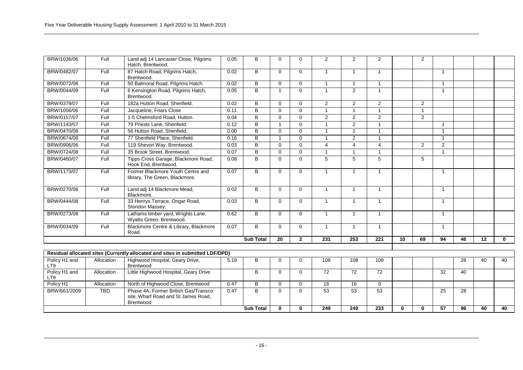| BRW/1036/06          | Full       | Land adj 14 Lancaster Close, Pilgrims<br>Hatch, Brentwood.                               | 0.05 | B.               | $\Omega$    | $\Omega$     | $\overline{2}$  | 2               | $\overline{2}$   |    | 2              |                 |                 |                 |              |
|----------------------|------------|------------------------------------------------------------------------------------------|------|------------------|-------------|--------------|-----------------|-----------------|------------------|----|----------------|-----------------|-----------------|-----------------|--------------|
| BRW/0482/07          | Full       | 87 Hatch Road, Pilgrims Hatch,<br>Brentwood.                                             | 0.02 | B                | $\Omega$    | $\Omega$     | -1              | $\mathbf{1}$    | $\mathbf{1}$     |    |                | -1              |                 |                 |              |
| BRW/0072/08          | Full       | 50 Balmoral Road, Pilgrims Hatch.                                                        | 0.02 | B                | $\Omega$    | $\Omega$     | $\overline{1}$  | $\mathbf{1}$    | $\mathbf{1}$     |    |                | $\overline{1}$  |                 |                 |              |
| BRW/0044/09          | Full       | 6 Kensington Road, Pilgrims Hatch,<br>Brentwood.                                         | 0.05 | B                | 1           | $\Omega$     | $\overline{1}$  | 2               | $\mathbf{1}$     |    |                | $\overline{1}$  |                 |                 |              |
| BRW/0379/07          | Full       | 182a Hutton Road, Shenfield.                                                             | 0.02 | B                | $\Omega$    | $\Omega$     | $\overline{2}$  | 2               | $\overline{2}$   |    | $\overline{2}$ |                 |                 |                 |              |
| BRW/1056/06          | Full       | Jacqueline, Friars Close                                                                 | 0.11 | B                | $\Omega$    | $\Omega$     | 1               | $\mathbf{1}$    | $\mathbf{1}$     |    | $\mathbf{1}$   |                 |                 |                 |              |
| BRW/0157/07          | Full       | 1-5 Chelmsford Road. Hutton.                                                             | 0.04 | B                | $\Omega$    | $\Omega$     | 2               | 2               | 2                |    | 2              |                 |                 |                 |              |
| BRW/1143/07          | Full       | 79 Priests Lane, Shenfield.                                                              | 0.12 | B                | 1           | $\Omega$     | $\mathbf{1}$    | 2               | $\overline{1}$   |    |                | $\overline{1}$  |                 |                 |              |
| BRW/0470/08          | Full       | 56 Hutton Road, Shenfield.                                                               | 0.00 | $\overline{B}$   | $\Omega$    | $\Omega$     | $\overline{ }$  | 1               | $\overline{1}$   |    |                |                 |                 |                 |              |
| BRW/0674/08          | Full       | 77 Shenfield Place, Shenfield.                                                           | 0.16 | B                |             | $\Omega$     | $\overline{1}$  | 2               | $\overline{1}$   |    |                | $\overline{1}$  |                 |                 |              |
| BRW/0906/06          | Full       | 119 Shevon Way, Brentwood.                                                               | 0.03 | B                | $\Omega$    | $\Omega$     | $\overline{4}$  | $\overline{4}$  | $\overline{4}$   |    | 2              | 2               |                 |                 |              |
| BRW/0724/08          | Full       | 35 Brook Street, Brentwood.                                                              | 0.07 | $\overline{B}$   | $\Omega$    | $\Omega$     | 1               | $\mathbf{1}$    | $\mathbf{1}$     |    |                | $\overline{1}$  |                 |                 |              |
| BRW/0460/07          | Full       | Tipps Cross Garage, Blackmore Road,<br>Hook End. Brentwood.                              | 0.08 | B                | $\Omega$    | $\Omega$     | 5               | 5               | 5                |    | 5              |                 |                 |                 |              |
| BRW/1173/07          | Full       | Former Blackmore Youth Centre and<br>library, The Green, Blackmore.                      | 0.07 | B                | $\Omega$    | $\Omega$     | $\mathbf{1}$    | $\mathbf{1}$    | $\mathbf{1}$     |    |                | $\mathbf{1}$    |                 |                 |              |
| BRW/0270/08          | Full       | Land adj 14 Blackmore Mead,<br>Blackmore.                                                | 0.02 | B                | $\Omega$    | $\Omega$     | 1               | $\mathbf{1}$    | $\mathbf{1}$     |    |                | $\mathbf{1}$    |                 |                 |              |
| BRW/0444/08          | Full       | 33 Henrys Terrace, Ongar Road,<br>Stondon Massey.                                        | 0.03 | B                | $\Omega$    | $\Omega$     | $\mathbf{1}$    | $\mathbf{1}$    | $\mathbf{1}$     |    |                | $\overline{1}$  |                 |                 |              |
| BRW/0273/08          | Full       | Lathams timber yard, Wrights Lane,<br>Wyatts Green, Brentwood.                           | 0.62 | B                | $\Omega$    | $\Omega$     | $\mathbf{1}$    | $\mathbf{1}$    | $\mathbf{1}$     |    |                | $\mathbf{1}$    |                 |                 |              |
| BRW/0034/09          | Full       | Blackmore Centre & Library, Blackmore<br>Road.                                           | 0.07 | B                | $\mathbf 0$ | $\Omega$     | 1               | $\mathbf{1}$    | $\mathbf{1}$     |    |                | $\mathbf{1}$    |                 |                 |              |
|                      |            |                                                                                          |      | <b>Sub Total</b> | 20          | $\mathbf{2}$ | 231             | 253             | $\overline{221}$ | 10 | 69             | 94              | 46              | $\overline{12}$ | $\mathbf{0}$ |
|                      |            |                                                                                          |      |                  |             |              |                 |                 |                  |    |                |                 |                 |                 |              |
|                      |            | Residual allocated sites (Currently allocated and sites in submitted LDF/DPD)            |      |                  |             |              |                 |                 |                  |    |                |                 |                 |                 |              |
| Policy H1 and<br>LT9 | Allocation | Highwood Hospital, Geary Drive,<br>Brentwood                                             | 5.19 | B                | 0           | $\Omega$     | 108             | 108             | 108              |    |                |                 | 28              | 40              | 40           |
| Policy H1 and<br>LT9 | Allocation | Little Highwood Hospital, Geary Drive                                                    |      | B                | $\Omega$    | $\Omega$     | $\overline{72}$ | $\overline{72}$ | 72               |    |                | $\overline{32}$ | 40              |                 |              |
| Policy H1            | Allocation | North of Highwood Close, Brentwood                                                       | 0.47 | B                | $\mathbf 0$ | $\Omega$     | 16              | 16              | $\mathbf 0$      |    |                |                 |                 |                 |              |
| BRW/661/2009         | <b>TBD</b> | Phase 4A, Former British Gas/Transco<br>site, Wharf Road and St James Road,<br>Brentwood | 0.47 | $\overline{B}$   | $\Omega$    | $\Omega$     | 53              | $\overline{53}$ | 53               |    |                | 25              | $\overline{28}$ |                 |              |

**Sub Total 0 0 249 249 233 0 0 57 96 40 40**